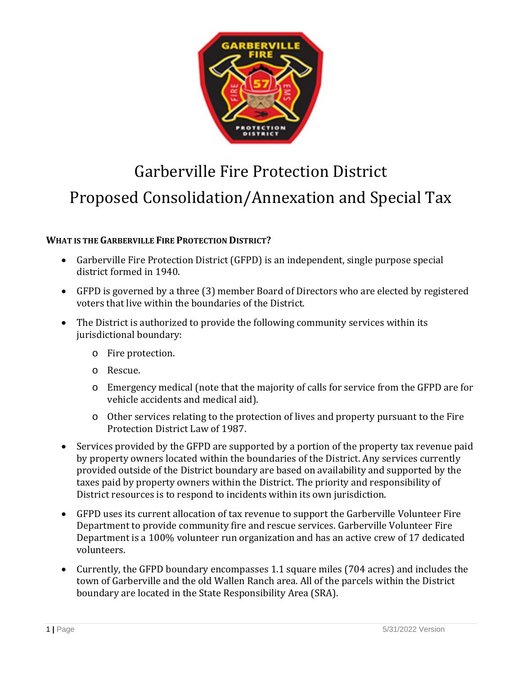

# Garberville Fire Protection District Proposed Consolidation/Annexation and Special Tax

# **WHAT IS THE GARBERVILLE FIRE PROTECTION DISTRICT?**

- Garberville Fire Protection District (GFPD) is an independent, single purpose special district formed in 1940.
- GFPD is governed by a three (3) member Board of Directors who are elected by registered voters that live within the boundaries of the District.
- The District is authorized to provide the following community services within its jurisdictional boundary:
	- o Fire protection.
	- o Rescue.
	- o Emergency medical (note that the majority of calls for service from the GFPD are for vehicle accidents and medical aid).
	- o Other services relating to the protection of lives and property pursuant to the Fire Protection District Law of 1987.
- Services provided by the GFPD are supported by a portion of the property tax revenue paid by property owners located within the boundaries of the District. Any services currently provided outside of the District boundary are based on availability and supported by the taxes paid by property owners within the District. The priority and responsibility of District resources is to respond to incidents within its own jurisdiction.
- GFPD uses its current allocation of tax revenue to support the Garberville Volunteer Fire Department to provide community fire and rescue services. Garberville Volunteer Fire Department is a 100% volunteer run organization and has an active crew of 17 dedicated volunteers.
- Currently, the GFPD boundary encompasses 1.1 square miles (704 acres) and includes the town of Garberville and the old Wallen Ranch area. All of the parcels within the District boundary are located in the State Responsibility Area (SRA).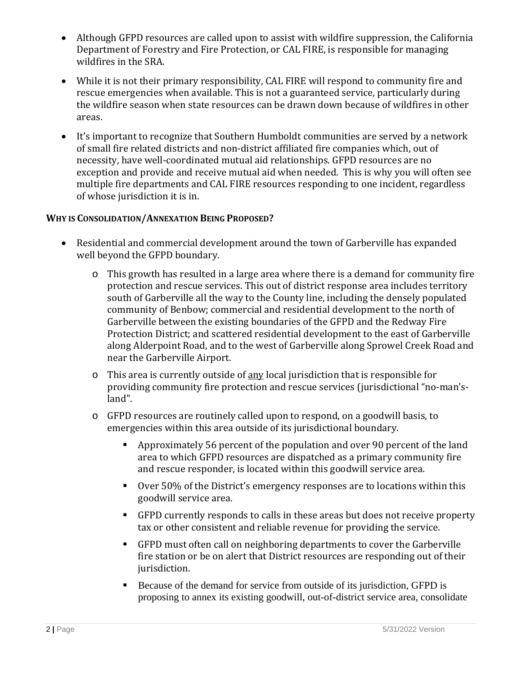- Although GFPD resources are called upon to assist with wildfire suppression, the California Department of Forestry and Fire Protection, or CAL FIRE, is responsible for managing wildfires in the SRA.
- While it is not their primary responsibility, CAL FIRE will respond to community fire and rescue emergencies when available. This is not a guaranteed service, particularly during the wildfire season when state resources can be drawn down because of wildfires in other areas.
- It's important to recognize that Southern Humboldt communities are served by a network of small fire related districts and non-district affiliated fire companies which, out of necessity, have well-coordinated mutual aid relationships. GFPD resources are no exception and provide and receive mutual aid when needed. This is why you will often see multiple fire departments and CAL FIRE resources responding to one incident, regardless of whose jurisdiction it is in.

#### **WHY IS CONSOLIDATION/ANNEXATION BEING PROPOSED?**

- Residential and commercial development around the town of Garberville has expanded well beyond the GFPD boundary.
	- $\circ$  This growth has resulted in a large area where there is a demand for community fire protection and rescue services. This out of district response area includes territory south of Garberville all the way to the County line, including the densely populated community of Benbow; commercial and residential development to the north of Garberville between the existing boundaries of the GFPD and the Redway Fire Protection District; and scattered residential development to the east of Garberville along Alderpoint Road, and to the west of Garberville along Sprowel Creek Road and near the Garberville Airport.
	- o This area is currently outside of any local jurisdiction that is responsible for providing community fire protection and rescue services (jurisdictional "no-man'sland".
	- o GFPD resources are routinely called upon to respond, on a goodwill basis, to emergencies within this area outside of its jurisdictional boundary.
		- Approximately 56 percent of the population and over 90 percent of the land area to which GFPD resources are dispatched as a primary community fire and rescue responder, is located within this goodwill service area.
		- Over 50% of the District's emergency responses are to locations within this goodwill service area.
		- GFPD currently responds to calls in these areas but does not receive property tax or other consistent and reliable revenue for providing the service.
		- GFPD must often call on neighboring departments to cover the Garberville fire station or be on alert that District resources are responding out of their jurisdiction.
		- Because of the demand for service from outside of its jurisdiction, GFPD is proposing to annex its existing goodwill, out-of-district service area, consolidate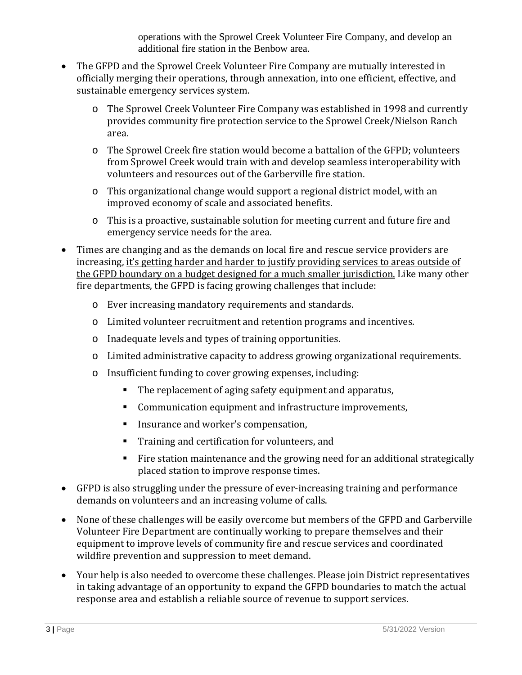operations with the Sprowel Creek Volunteer Fire Company, and develop an additional fire station in the Benbow area.

- The GFPD and the Sprowel Creek Volunteer Fire Company are mutually interested in officially merging their operations, through annexation, into one efficient, effective, and sustainable emergency services system.
	- o The Sprowel Creek Volunteer Fire Company was established in 1998 and currently provides community fire protection service to the Sprowel Creek/Nielson Ranch area.
	- o The Sprowel Creek fire station would become a battalion of the GFPD; volunteers from Sprowel Creek would train with and develop seamless interoperability with volunteers and resources out of the Garberville fire station.
	- o This organizational change would support a regional district model, with an improved economy of scale and associated benefits.
	- o This is a proactive, sustainable solution for meeting current and future fire and emergency service needs for the area.
- Times are changing and as the demands on local fire and rescue service providers are increasing, it's getting harder and harder to justify providing services to areas outside of the GFPD boundary on a budget designed for a much smaller jurisdiction. Like many other fire departments, the GFPD is facing growing challenges that include:
	- o Ever increasing mandatory requirements and standards.
	- o Limited volunteer recruitment and retention programs and incentives.
	- o Inadequate levels and types of training opportunities.
	- o Limited administrative capacity to address growing organizational requirements.
	- o Insufficient funding to cover growing expenses, including:
		- The replacement of aging safety equipment and apparatus,
		- **Communication equipment and infrastructure improvements,**
		- Insurance and worker's compensation,
		- **Training and certification for volunteers, and**
		- Fire station maintenance and the growing need for an additional strategically placed station to improve response times.
- GFPD is also struggling under the pressure of ever-increasing training and performance demands on volunteers and an increasing volume of calls.
- None of these challenges will be easily overcome but members of the GFPD and Garberville Volunteer Fire Department are continually working to prepare themselves and their equipment to improve levels of community fire and rescue services and coordinated wildfire prevention and suppression to meet demand.
- Your help is also needed to overcome these challenges. Please join District representatives in taking advantage of an opportunity to expand the GFPD boundaries to match the actual response area and establish a reliable source of revenue to support services.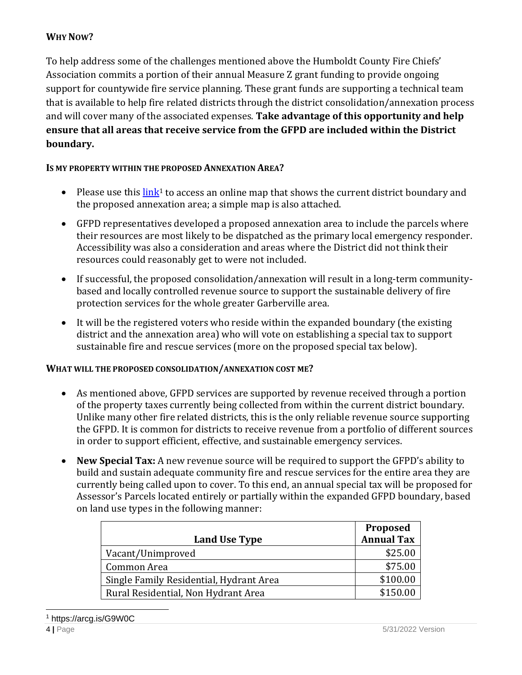# **WHY NOW?**

To help address some of the challenges mentioned above the Humboldt County Fire Chiefs' Association commits a portion of their annual Measure Z grant funding to provide ongoing support for countywide fire service planning. These grant funds are supporting a technical team that is available to help fire related districts through the district consolidation/annexation process and will cover many of the associated expenses. **Take advantage of this opportunity and help ensure that all areas that receive service from the GFPD are included within the District boundary.** 

## **IS MY PROPERTY WITHIN THE PROPOSED ANNEXATION AREA?**

- Please use this  $\frac{\text{link}}{\text{1}}$  to access an online map that shows the current district boundary and the proposed annexation area; a simple map is also attached.
- GFPD representatives developed a proposed annexation area to include the parcels where their resources are most likely to be dispatched as the primary local emergency responder. Accessibility was also a consideration and areas where the District did not think their resources could reasonably get to were not included.
- If successful, the proposed consolidation/annexation will result in a long-term communitybased and locally controlled revenue source to support the sustainable delivery of fire protection services for the whole greater Garberville area.
- It will be the registered voters who reside within the expanded boundary (the existing district and the annexation area) who will vote on establishing a special tax to support sustainable fire and rescue services (more on the proposed special tax below).

## **WHAT WILL THE PROPOSED CONSOLIDATION/ANNEXATION COST ME?**

- As mentioned above, GFPD services are supported by revenue received through a portion of the property taxes currently being collected from within the current district boundary. Unlike many other fire related districts, this is the only reliable revenue source supporting the GFPD. It is common for districts to receive revenue from a portfolio of different sources in order to support efficient, effective, and sustainable emergency services.
- **New Special Tax:** A new revenue source will be required to support the GFPD's ability to build and sustain adequate community fire and rescue services for the entire area they are currently being called upon to cover. To this end, an annual special tax will be proposed for Assessor's Parcels located entirely or partially within the expanded GFPD boundary, based on land use types in the following manner:

|                                         | <b>Proposed</b>   |
|-----------------------------------------|-------------------|
| <b>Land Use Type</b>                    | <b>Annual Tax</b> |
| Vacant/Unimproved                       | \$25.00           |
| Common Area                             | \$75.00           |
| Single Family Residential, Hydrant Area | \$100.00          |
| Rural Residential, Non Hydrant Area     | \$150.00          |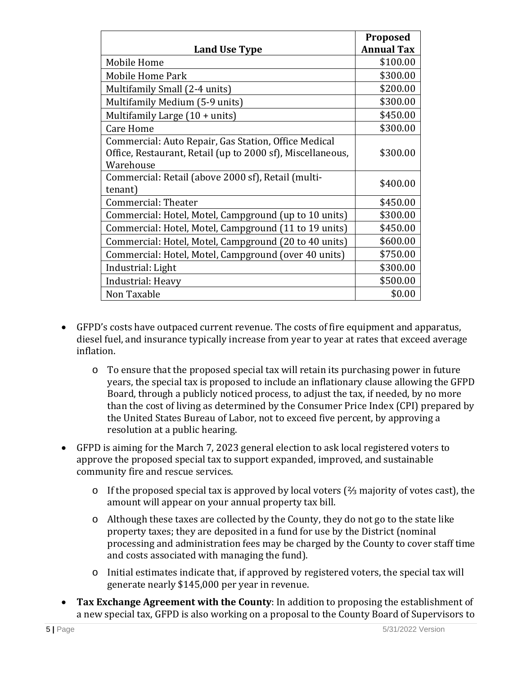|                                                            | Proposed          |
|------------------------------------------------------------|-------------------|
| <b>Land Use Type</b>                                       | <b>Annual Tax</b> |
| Mobile Home                                                | \$100.00          |
| Mobile Home Park                                           | \$300.00          |
| Multifamily Small (2-4 units)                              | \$200.00          |
| Multifamily Medium (5-9 units)                             | \$300.00          |
| Multifamily Large (10 + units)                             | \$450.00          |
| <b>Care Home</b>                                           | \$300.00          |
| Commercial: Auto Repair, Gas Station, Office Medical       |                   |
| Office, Restaurant, Retail (up to 2000 sf), Miscellaneous, | \$300.00          |
| Warehouse                                                  |                   |
| Commercial: Retail (above 2000 sf), Retail (multi-         | \$400.00          |
| tenant)                                                    |                   |
| Commercial: Theater                                        | \$450.00          |
| Commercial: Hotel, Motel, Campground (up to 10 units)      | \$300.00          |
| Commercial: Hotel, Motel, Campground (11 to 19 units)      | \$450.00          |
| Commercial: Hotel, Motel, Campground (20 to 40 units)      | \$600.00          |
| Commercial: Hotel, Motel, Campground (over 40 units)       | \$750.00          |
| Industrial: Light                                          | \$300.00          |
| Industrial: Heavy                                          | \$500.00          |
| Non Taxable                                                | \$0.00            |

- GFPD's costs have outpaced current revenue. The costs of fire equipment and apparatus, diesel fuel, and insurance typically increase from year to year at rates that exceed average inflation.
	- o To ensure that the proposed special tax will retain its purchasing power in future years, the special tax is proposed to include an inflationary clause allowing the GFPD Board, through a publicly noticed process, to adjust the tax, if needed, by no more than the cost of living as determined by the Consumer Price Index (CPI) prepared by the United States Bureau of Labor, not to exceed five percent, by approving a resolution at a public hearing.
- GFPD is aiming for the March 7, 2023 general election to ask local registered voters to approve the proposed special tax to support expanded, improved, and sustainable community fire and rescue services.
	- o If the proposed special tax is approved by local voters (⅔ majority of votes cast), the amount will appear on your annual property tax bill.
	- o Although these taxes are collected by the County, they do not go to the state like property taxes; they are deposited in a fund for use by the District (nominal processing and administration fees may be charged by the County to cover staff time and costs associated with managing the fund).
	- o Initial estimates indicate that, if approved by registered voters, the special tax will generate nearly \$145,000 per year in revenue.
- **Tax Exchange Agreement with the County**: In addition to proposing the establishment of a new special tax, GFPD is also working on a proposal to the County Board of Supervisors to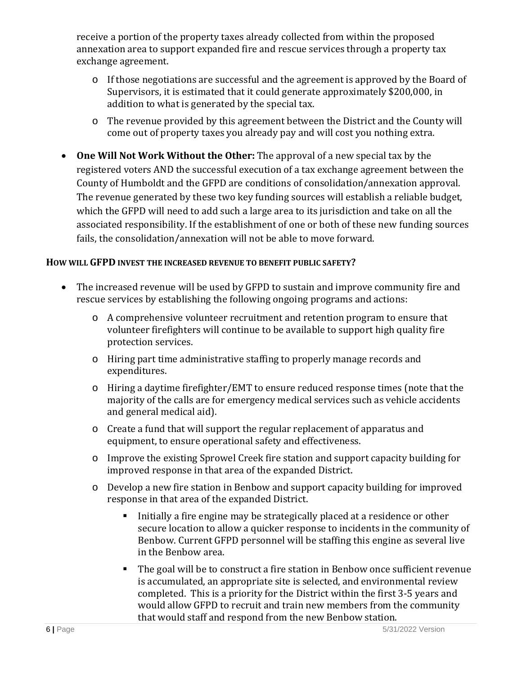receive a portion of the property taxes already collected from within the proposed annexation area to support expanded fire and rescue services through a property tax exchange agreement.

- o If those negotiations are successful and the agreement is approved by the Board of Supervisors, it is estimated that it could generate approximately \$200,000, in addition to what is generated by the special tax.
- o The revenue provided by this agreement between the District and the County will come out of property taxes you already pay and will cost you nothing extra.
- **One Will Not Work Without the Other:** The approval of a new special tax by the registered voters AND the successful execution of a tax exchange agreement between the County of Humboldt and the GFPD are conditions of consolidation/annexation approval. The revenue generated by these two key funding sources will establish a reliable budget, which the GFPD will need to add such a large area to its jurisdiction and take on all the associated responsibility. If the establishment of one or both of these new funding sources fails, the consolidation/annexation will not be able to move forward.

## **HOW WILL GFPD INVEST THE INCREASED REVENUE TO BENEFIT PUBLIC SAFETY?**

- The increased revenue will be used by GFPD to sustain and improve community fire and rescue services by establishing the following ongoing programs and actions:
	- o A comprehensive volunteer recruitment and retention program to ensure that volunteer firefighters will continue to be available to support high quality fire protection services.
	- o Hiring part time administrative staffing to properly manage records and expenditures.
	- o Hiring a daytime firefighter/EMT to ensure reduced response times (note that the majority of the calls are for emergency medical services such as vehicle accidents and general medical aid).
	- o Create a fund that will support the regular replacement of apparatus and equipment, to ensure operational safety and effectiveness.
	- o Improve the existing Sprowel Creek fire station and support capacity building for improved response in that area of the expanded District.
	- o Develop a new fire station in Benbow and support capacity building for improved response in that area of the expanded District.
		- Initially a fire engine may be strategically placed at a residence or other secure location to allow a quicker response to incidents in the community of Benbow. Current GFPD personnel will be staffing this engine as several live in the Benbow area.
		- The goal will be to construct a fire station in Benbow once sufficient revenue is accumulated, an appropriate site is selected, and environmental review completed. This is a priority for the District within the first 3-5 years and would allow GFPD to recruit and train new members from the community that would staff and respond from the new Benbow station.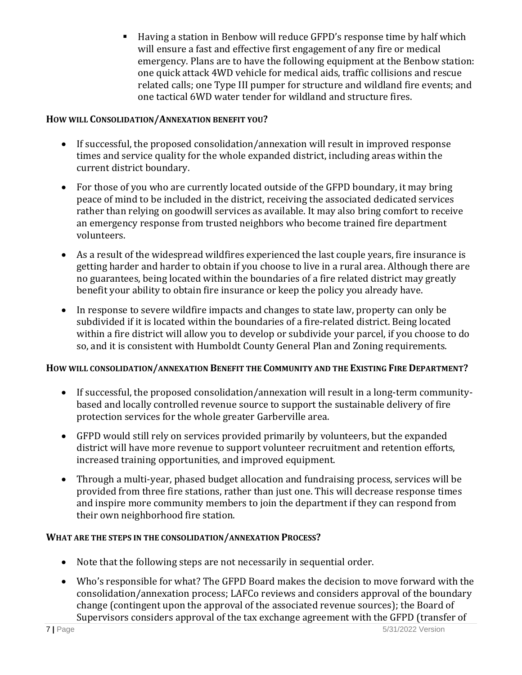Having a station in Benbow will reduce GFPD's response time by half which will ensure a fast and effective first engagement of any fire or medical emergency. Plans are to have the following equipment at the Benbow station: one quick attack 4WD vehicle for medical aids, traffic collisions and rescue related calls; one Type III pumper for structure and wildland fire events; and one tactical 6WD water tender for wildland and structure fires.

## **HOW WILL CONSOLIDATION/ANNEXATION BENEFIT YOU?**

- If successful, the proposed consolidation/annexation will result in improved response times and service quality for the whole expanded district, including areas within the current district boundary.
- For those of you who are currently located outside of the GFPD boundary, it may bring peace of mind to be included in the district, receiving the associated dedicated services rather than relying on goodwill services as available. It may also bring comfort to receive an emergency response from trusted neighbors who become trained fire department volunteers.
- As a result of the widespread wildfires experienced the last couple years, fire insurance is getting harder and harder to obtain if you choose to live in a rural area. Although there are no guarantees, being located within the boundaries of a fire related district may greatly benefit your ability to obtain fire insurance or keep the policy you already have.
- In response to severe wildfire impacts and changes to state law, property can only be subdivided if it is located within the boundaries of a fire-related district. Being located within a fire district will allow you to develop or subdivide your parcel, if you choose to do so, and it is consistent with Humboldt County General Plan and Zoning requirements.

## **HOW WILL CONSOLIDATION/ANNEXATION BENEFIT THE COMMUNITY AND THE EXISTING FIRE DEPARTMENT?**

- If successful, the proposed consolidation/annexation will result in a long-term communitybased and locally controlled revenue source to support the sustainable delivery of fire protection services for the whole greater Garberville area.
- GFPD would still rely on services provided primarily by volunteers, but the expanded district will have more revenue to support volunteer recruitment and retention efforts, increased training opportunities, and improved equipment.
- Through a multi-year, phased budget allocation and fundraising process, services will be provided from three fire stations, rather than just one. This will decrease response times and inspire more community members to join the department if they can respond from their own neighborhood fire station.

#### **WHAT ARE THE STEPS IN THE CONSOLIDATION/ANNEXATION PROCESS?**

- Note that the following steps are not necessarily in sequential order.
- Who's responsible for what? The GFPD Board makes the decision to move forward with the consolidation/annexation process; LAFCo reviews and considers approval of the boundary change (contingent upon the approval of the associated revenue sources); the Board of Supervisors considers approval of the tax exchange agreement with the GFPD (transfer of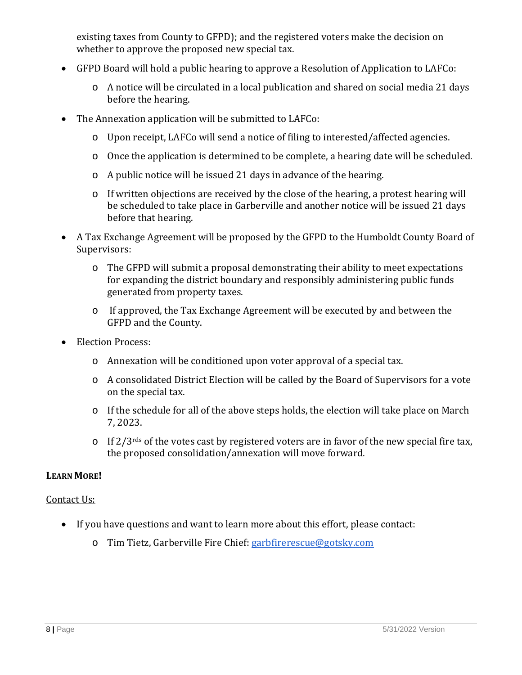existing taxes from County to GFPD); and the registered voters make the decision on whether to approve the proposed new special tax.

- GFPD Board will hold a public hearing to approve a Resolution of Application to LAFCo:
	- o A notice will be circulated in a local publication and shared on social media 21 days before the hearing.
- The Annexation application will be submitted to LAFCo:
	- o Upon receipt, LAFCo will send a notice of filing to interested/affected agencies.
	- o Once the application is determined to be complete, a hearing date will be scheduled.
	- o A public notice will be issued 21 days in advance of the hearing.
	- o If written objections are received by the close of the hearing, a protest hearing will be scheduled to take place in Garberville and another notice will be issued 21 days before that hearing.
- A Tax Exchange Agreement will be proposed by the GFPD to the Humboldt County Board of Supervisors:
	- o The GFPD will submit a proposal demonstrating their ability to meet expectations for expanding the district boundary and responsibly administering public funds generated from property taxes.
	- o If approved, the Tax Exchange Agreement will be executed by and between the GFPD and the County.
- Election Process:
	- o Annexation will be conditioned upon voter approval of a special tax.
	- o A consolidated District Election will be called by the Board of Supervisors for a vote on the special tax.
	- o If the schedule for all of the above steps holds, the election will take place on March 7, 2023.
	- o If  $2/3$ <sup>rds</sup> of the votes cast by registered voters are in favor of the new special fire tax, the proposed consolidation/annexation will move forward.

## **LEARN MORE!**

#### Contact Us:

- If you have questions and want to learn more about this effort, please contact:
	- o Tim Tietz, Garberville Fire Chief: garbfirerescue@gotsky.com